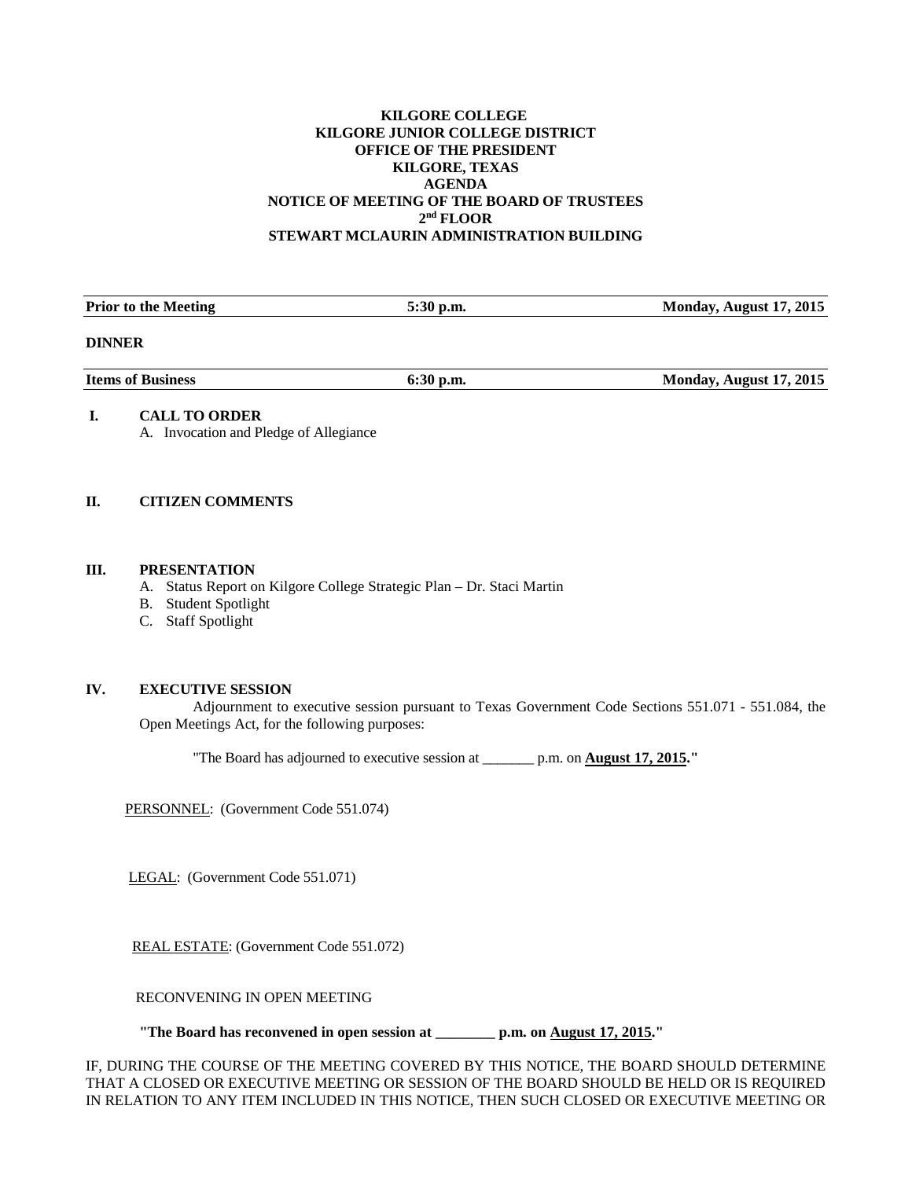### **KILGORE COLLEGE KILGORE JUNIOR COLLEGE DISTRICT OFFICE OF THE PRESIDENT KILGORE, TEXAS AGENDA NOTICE OF MEETING OF THE BOARD OF TRUSTEES 2nd FLOOR STEWART MCLAURIN ADMINISTRATION BUILDING**

| <b>Prior to the Meeting</b> | $5:30$ p.m. | Monday, August 17, 2015 |
|-----------------------------|-------------|-------------------------|
| <b>DINNER</b>               |             |                         |
| <b>Items of Business</b>    | $6:30$ p.m. | Monday, August 17, 2015 |

# **I. CALL TO ORDER**

A. Invocation and Pledge of Allegiance

# **II. CITIZEN COMMENTS**

#### **III. PRESENTATION**

- A. Status Report on Kilgore College Strategic Plan Dr. Staci Martin
- B. Student Spotlight
- C. Staff Spotlight

# **IV. EXECUTIVE SESSION**

Adjournment to executive session pursuant to Texas Government Code Sections 551.071 - 551.084, the Open Meetings Act, for the following purposes:

"The Board has adjourned to executive session at \_\_\_\_\_\_\_ p.m. on **August 17, 2015."**

PERSONNEL: (Government Code 551.074)

LEGAL: (Government Code 551.071)

REAL ESTATE: (Government Code 551.072)

RECONVENING IN OPEN MEETING

**"The Board has reconvened in open session at \_\_\_\_\_\_\_\_ p.m. on August 17, 2015."**

IF, DURING THE COURSE OF THE MEETING COVERED BY THIS NOTICE, THE BOARD SHOULD DETERMINE THAT A CLOSED OR EXECUTIVE MEETING OR SESSION OF THE BOARD SHOULD BE HELD OR IS REQUIRED IN RELATION TO ANY ITEM INCLUDED IN THIS NOTICE, THEN SUCH CLOSED OR EXECUTIVE MEETING OR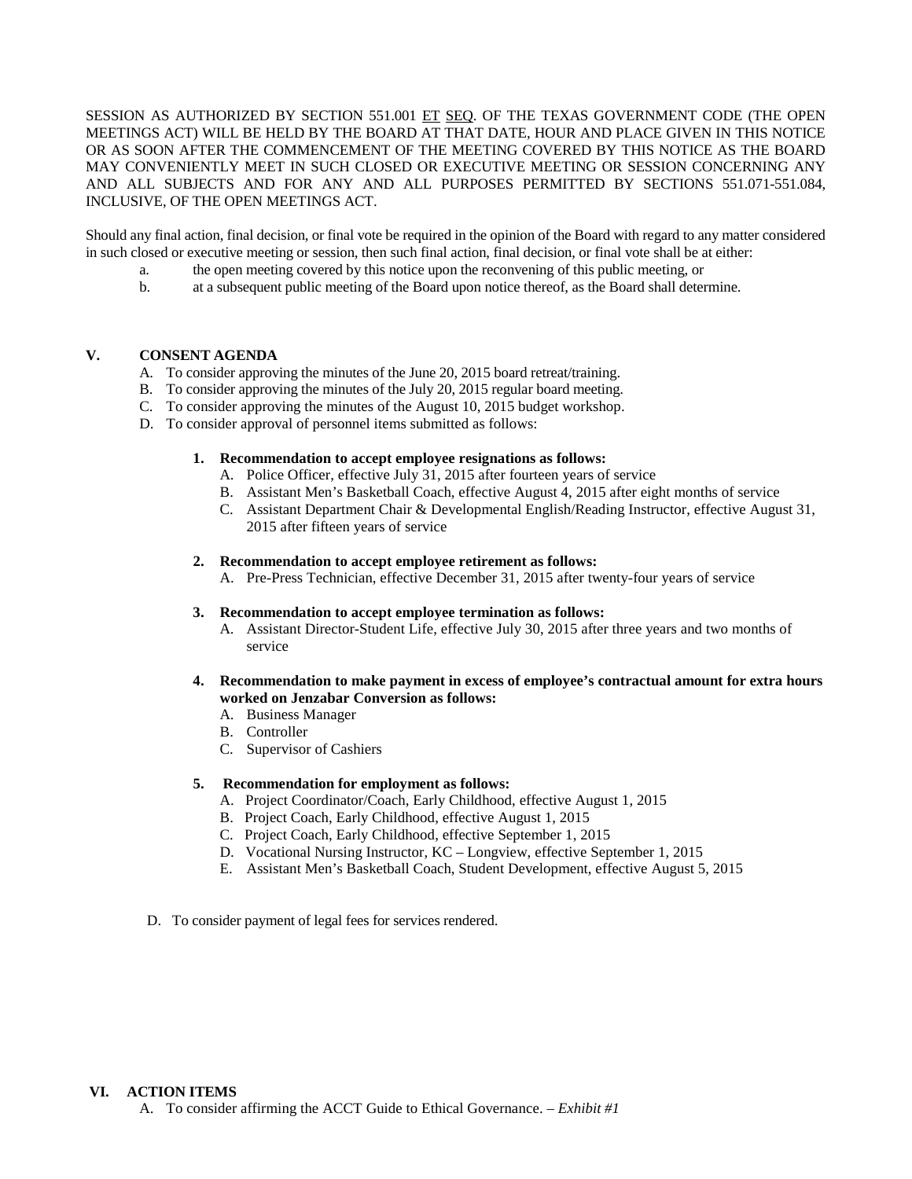SESSION AS AUTHORIZED BY SECTION 551.001 ET SEQ. OF THE TEXAS GOVERNMENT CODE (THE OPEN MEETINGS ACT) WILL BE HELD BY THE BOARD AT THAT DATE, HOUR AND PLACE GIVEN IN THIS NOTICE OR AS SOON AFTER THE COMMENCEMENT OF THE MEETING COVERED BY THIS NOTICE AS THE BOARD MAY CONVENIENTLY MEET IN SUCH CLOSED OR EXECUTIVE MEETING OR SESSION CONCERNING ANY AND ALL SUBJECTS AND FOR ANY AND ALL PURPOSES PERMITTED BY SECTIONS 551.071-551.084, INCLUSIVE, OF THE OPEN MEETINGS ACT.

Should any final action, final decision, or final vote be required in the opinion of the Board with regard to any matter considered in such closed or executive meeting or session, then such final action, final decision, or final vote shall be at either:

- a. the open meeting covered by this notice upon the reconvening of this public meeting, or
- b. at a subsequent public meeting of the Board upon notice thereof, as the Board shall determine.

# **V. CONSENT AGENDA**

- A. To consider approving the minutes of the June 20, 2015 board retreat/training.
- B. To consider approving the minutes of the July 20, 2015 regular board meeting.
- C. To consider approving the minutes of the August 10, 2015 budget workshop.
- D. To consider approval of personnel items submitted as follows:

#### **1. Recommendation to accept employee resignations as follows:**

- A. Police Officer, effective July 31, 2015 after fourteen years of service
- B. Assistant Men's Basketball Coach, effective August 4, 2015 after eight months of service
- C. Assistant Department Chair & Developmental English/Reading Instructor, effective August 31, 2015 after fifteen years of service

#### **2. Recommendation to accept employee retirement as follows:**

A. Pre-Press Technician, effective December 31, 2015 after twenty-four years of service

#### **3. Recommendation to accept employee termination as follows:**

- A. Assistant Director-Student Life, effective July 30, 2015 after three years and two months of service
- **4. Recommendation to make payment in excess of employee's contractual amount for extra hours worked on Jenzabar Conversion as follows:**
	- A. Business Manager
	- B. Controller
	- C. Supervisor of Cashiers

#### **5. Recommendation for employment as follows:**

- A. Project Coordinator/Coach, Early Childhood, effective August 1, 2015
- B. Project Coach, Early Childhood, effective August 1, 2015
- C. Project Coach, Early Childhood, effective September 1, 2015
- D. Vocational Nursing Instructor, KC Longview, effective September 1, 2015
- E. Assistant Men's Basketball Coach, Student Development, effective August 5, 2015
- D. To consider payment of legal fees for services rendered.

# **VI. ACTION ITEMS**

A. To consider affirming the ACCT Guide to Ethical Governance. – *Exhibit #1*